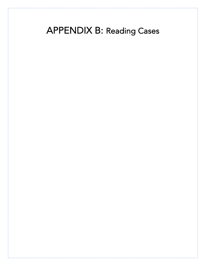APPENDIX B: Reading Cases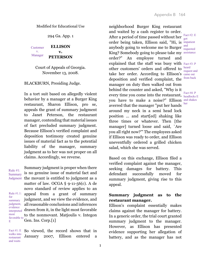294 Ga. App. 1

**ELLISON v. PETERSON** Customer v. Manager

> Court of Appeals of Georgia. November 13, 2008.

BLACKBURN, Presiding Judge.

In a tort suit based on allegedly violent behavior by a manager at a Burger King restaurant, Sharon Ellison, pro se, appeals the grant of summary judgment to Janet Peterson, the restaurant manager, contending that material issues of fact precluded summary judgment. Because Ellison's verified complaint and deposition testimony created genuine issues of material fact as to the potential liability of the manager, summary judgment as to her was not proper on all claims. Accordingly, we reverse.

Rule #1: Summary

Rule #1.1: for summary judgment, interpreted most favorable to E

Summary judgment is proper when there is no genuine issue of material fact and Judgment the movant is entitled to judgment as a matter of law. OCGA § 9-11-56(c). A de novo standard of review applies to an appeal from a grant of summary judgment, and we view the evidence, and all reasonable conclusions and inferences evidence drawn from it, in the light most favorable to the nonmovant. Matjoulis v. Integon Gen. Ins. Corp.[1]

So viewed, the record shows that in January 2007, Ellison entered a Fact #1: E walks into restaurant and waits

neighborhood Burger King restaurant and waited by a cash register to order. After a period of time passed without her  $\frac{\text{Fact #2: E}}{\text{got}}$ order being taken, Ellison said, "Hi, is impatient anybody going to welcome me to Burger  $\frac{and}{f_{\text{recul}}}$ King? Somebody going to please take my assistance order?" An employee turned and explained that the staff was busy with  $Fact #3: P$ other customers' orders and offered to  $\frac{\text{heat}}{\text{source}}$ take her order. According to Ellison's came out deposition and verified complaint, the from back manager on duty then walked out from behind the counter and asked, "Why is it every time you come into the restaurant,  $_{\text{headlocks}}^{\text{Fact #4: P}}$ you have to make a noise?" Ellison and shakes averred that the manager "put her hands around my neck in a semi head lock position ... and start[ed] shaking like three times or whatever. Then [the manager] turned loose and said, `Are you all right now?'" The employees asked if Ellison was ready to order, and Ellison uneventfully ordered a grilled chicken salad, which she was served. got requested request and headlocks E her

Based on this exchange, Ellison filed a verified complaint against the manager, seeking damages for battery. This defendant successfully moved for summary judgment, giving rise to this appeal.

# **Summary judgment as to the restaurant manager.**

Ellison's complaint essentially makes claims against the manager for battery. In a generic order, the trial court granted summary judgment to the manager. However, as Ellison has presented evidence supporting her allegation of battery, and as the manager has not

1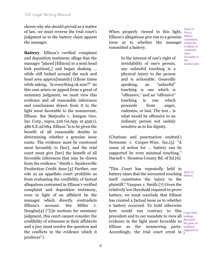shown why she should prevail as a matter of law, we must reverse the trial court's judgment as to the battery claim against the manager.

**Battery**. Ellison's verified complaint and deposition testimony allege that the manager "placed [Ellison] in a semi head lock position<sup>[,]</sup> and began shaking ... while still locked around the neck and head area approx[imately] [t]hree times while asking, `Is everything ok now?'" As this case arises on appeal from a grant of summary judgment, we must view this evidence and all reasonable inferences and conclusions drawn from it in the light most favorable to the nonmovant, Ellison. See Matjoulis v. Integon Gen. Ins. Corp., supra, 226 Ga.App. at 459(1), 486 S.E.2d 684. Ellison "is to be given the benefit of all reasonable doubts in determining whether a genuine issue exists. The evidence must be construed most favorably to [her], and the trial court must give [her] the benefit of all favorable inferences that may be drawn from the evidence." Smith v. Sandersville Production Credit Assn.[3] Further, our role as an appellate court prohibits us from evaluating the credibility of factual allegations contained in Ellison's verified complaint and deposition testimony, even in light of an affidavit by the manager which directly contradicts Ellison's account. See Miller v. Douglas[4] ("[i]n motions for summary judgment, this court cannot consider the credibility of witnesses or their affidavits and a jury must resolve the question and the conflicts in the evidence which it produces").

When properly viewed in this light,  $W_{\text{as a}}$ Ellison's allegations give rise to a genuine issue as to whether the manager committed a battery.

> In the interest of one's right of inviolability of one's person, any unlawful touching is a physical injury to the person and is actionable. Generally speaking, an "unlawful" touching is one which is "offensive," and an "offensive" touching is one which proceeds from anger, rudeness, or lust. The test... is what would be offensive to an ordinary person not unduly sensitive as to his dignity.

(Citations and punctuation omitted.) Newsome v. Cooper-Wiss, Inc.[5] "A cause of action for ... battery can be supported by even minimal touching." Darnell v. Houston County Bd. of Ed.[6]

"This Court has repeatedly held in battery cases that the unwanted touching  $\frac{\text{Rule #2:}}{\text{Pattern}}$ itself constitutes the injury to the plaintiff." Vasquez v. Smith.[7] Given the relatively low threshold required to prove battery, we must conclude that Ellison has created a factual issue as to whether a battery occurred. To hold otherwise here would run contrary to this  $_{\rm Court \; final}$ precedent and to our mandate to view all holding: evidence in the light most favorable to  $\frac{\text{Reversed}}{\text{the earth}}$  $Ellison$  as the nonmoving Accordingly, the trial court erred in  $\frac{1}{p}$  ludgment to Battery the grant of party. summary P.

Issue #1: battery committed (when the evidence is construed most favorable to the nonmovant)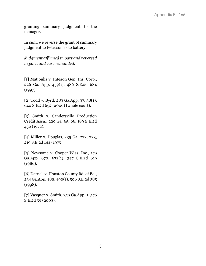granting summary judgment to the manager.

In sum, we reverse the grant of summary judgment to Peterson as to battery.

*Judgment affirmed in part and reversed in part, and case remanded.*

[1] Matjoulis v. Integon Gen. Ins. Corp., 226 Ga. App. 459(1), 486 S.E.2d 684  $(1997).$ 

[2] Todd v. Byrd, 283 Ga.App. 37, 38(1), 640 S.E.2d 652 (2006) (whole court).

[3] Smith v. Sandersville Production Credit Assn., 229 Ga. 65, 66, 189 S.E.2d 432 (1972).

[4] Miller v. Douglas, 235 Ga. 222, 223, 219 S.E.2d 144 (1975).

[5] Newsome v. Cooper-Wiss, Inc., 179 Ga.App. 670, 672(1), 347 S.E.2d 619 (1986).

[6] Darnell v. Houston County Bd. of Ed., 234 Ga.App. 488, 490(1), 506 S.E.2d 385 (1998).

[7] Vasquez v. Smith, 259 Ga.App. 1, 576 S.E.2d 59 (2003).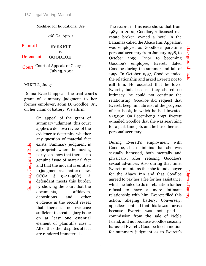268 Ga. App. 1

**EVERETT v. GOODLOE** Plaintiff Defendant

Court Court of Appeals of Georgia. July 15, 2004.

# MIKELL, Judge.

Summary Judgment Rule

Summary Judgment Rule

Donna Everett appeals the trial court's grant of summary judgment to her former employer, John D. Goodloe, Jr., on her claim of battery. We affirm.

> On appeal of the grant of summary judgment, this court applies a de novo review of the evidence to determine whether any question of material fact exists. Summary judgment is appropriate where the moving party can show that there is no genuine issue of material fact and that the movant is entitled to judgment as a matter of law. OCGA §  $9-11-56(c)$ . A defendant meets this burden by showing the court that the documents, affidavits, depositions and other evidence in the record reveal that there is no evidence sufficient to create a jury issue on at least one essential element of plaintiff's case.... All of the other disputes of fact are rendered immaterial.<sup>1</sup>

The record in this case shows that from 1989 to 2000, Goodloe, a licensed real estate broker, owned a hotel in the Bahamas called the Abaco Inn. Appellant was employed as Goodloe's part-time personal secretary from January 1998, to October 1999. Prior to becoming Goodloe's employee, Everett dated Goodloe during the summer and fall of 1997. In October 1997, Goodloe ended the relationship and asked Everett not to call him. He asserted that he loved Everett, but, because they shared no intimacy, he could not continue the relationship. Goodloe did request that Everett keep him abreast of the progress of her book, in which he had invested \$25,000. On December 3, 1997, Everett e-mailed Goodloe that she was searching for a part-time job, and he hired her as a personal secretary.

During Everett's employment with Goodloe, she maintains that she was sexually harassed, both mentally and physically, after refusing Goodloe's sexual advances. Also during that time, Everett maintains that she found a buyer for the Abaco Inn and that Goodloe agreed to pay her a fee for her assistance, which he failed to do in retaliation for her refusal to have a more intimate relationship with him. Everett filed this action, alleging battery. Conversely, appellees contend that this lawsuit arose because Everett was not paid a commission from the sale of Noble Island, and not because Goodloe sexually harassed Everett. Goodloe filed a motion for summary judgment as to Everett's

Claim -

Battery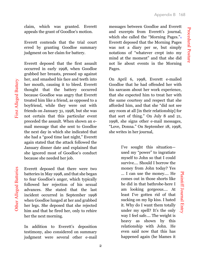Procedural Posture

Procedural Posture

claim, which was granted. Everett appeals the grant of Goodloe's motion.

Everett contends that the trial court erred by granting Goodloe summary judgment on her claim for battery.

Everett deposed that the first assault occurred in early 1998, when Goodloe grabbed her breasts, pressed up against her, and smashed his face and teeth into her mouth, causing it to bleed. Everett thought that the battery occurred because Goodloe was angry that Everett treated him like a friend, as opposed to a boyfriend, while they were out with friends on January 31, 1998, but she was not certain that this particular event preceded the assault. When shown an email message that she sent to Goodloe the next day in which she indicated that she had a "good time last night," Everett again stated that the attack followed the January dinner date and explained that she ignored most of Goodloe's conduct because she needed her job.

First Alleged Battery

First Alleged Battery

Everett deposed that there were two batteries in May 1998, and that she began to fear Goodloe's anger, which typically followed her rejection of his sexual advances. She stated that the last incident occurred in September 1998 when Goodloe lunged at her and grabbed her legs. She deposed that she rejected him and that he fired her, only to rehire her the next morning.

In addition to Everett's deposition testimony, also considered on summary judgment were several other e-mail

messages between Goodloe and Everett and excerpts from Everett's journal, which she called the "Morning Pages." Everett deposed that the Morning Pages was not a diary per se, but simply notations of "whatever crept into my mind at the moment" and that she did not lie about events in the Morning Pages.

On April 6, 1998, Everett e-mailed Goodloe that he had offended her with his sarcasm about her work experience, that she expected him to treat her with the same courtesy and respect that she afforded him, and that she "did not see any room at all [in their relationship] for that sort of thing." On July 8 and 21, 1998, she signs other e-mail messages, "Love, Donna." On September 18, 1998, she writes in her journal,

> I've sought this situation used my "power" to ingratiate myself to John so that I could survive.... Should I borrow the money from John today? Yes ... I can use the money.... He comes out in those shorts like he did in that bathrobe-here I am looking gorgeous.... At least I've gotten rid of that sucking on my lip kiss. I hated it. Why do I want them totally under my spell? It's the only way I feel safe.... The weight is heavy as shown by this relationship with John. He even said now that this has happened again (he blames it

Plaintiff Journal Entry

Plaintiff Journal Entry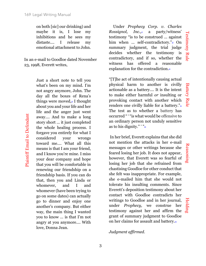on both [sic] our drinking) and maybe it is, I lose my inhibitions and he sees my distaste.... I release my emotional attachment to John.

In an e-mail to Goodloe dated November 23, 1998, Everett writes,

> Just a short note to tell you what's been on my mind. I'm not angry anymore, John. The day all the boxes of Rena's things were moved,<sup>16</sup> I thought about you and your life and her life and the anger just went away.... And to make a long story short ... it just completed the whole healing process. I forgave you entirely for what I considered your wrongs toward me.... What all this means is that I am your friend, and I know you're mine. I miss your dear company and hope that you will be comfortable in renewing our friendship on a friendship basis. If you can do that, then you and Linda or whomever, and I and whomever (have been trying to go on some dates) can actually go to dinner and enjoy one another's company. But either way, the main thing I wanted you to know ... is that I'm not angry at you anymore.... With love, Donna Jean.

Plaintiff Email to Defendant

Plaintiff Email to Defendant

Under *Prophecy Corp. v. Charles Rossignol, Inc.*,<sup>17</sup> a party/witness' testimony "is to be construed ... against him when ... self-contradictory."<sup>8</sup> On summary judgment, the trial judge decides whether the testimony is contradictory, and if so, whether the witness has offered a reasonable explanation for the contradiction.<sup>19</sup>

"[T]he act of intentionally causing actual physical harm to another is civilly actionable as a battery.... It is the intent to make either harmful *or* insulting or provoking contact with another which renders one civilly liable for a battery." The test as to whether a battery has occurred " ' "is what would be offensive to an ordinary person not unduly sensitive as to his dignity."  $\frac{1}{2}$ 

In her brief, Everett explains that she did not mention the attacks in her e-mail messages or other writings because she feared losing her job. It does not appear, however, that Everett was so fearful of losing her job that she refrained from chastising Goodloe for other conduct that she felt was inappropriate. For example, she e-mailed him that she would not tolerate his insulting comments. Since Everett's deposition testimony about her contact with Goodloe contradicts her writings to Goodloe and in her journal, under *Prophecy,* we construe her writings to Goodloe and in her journal,<br>under *Prophecy*, we construe her<br>testimony against her and affirm the grant of summary judgment to Goodloe on her claims for assault and battery.23

# *Judgment affirmed.*

Reasoning

Battery Rule

**Battery Rule**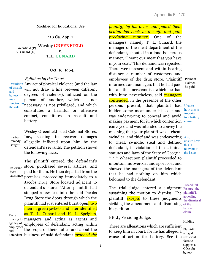110 Ga. App. 1

**Wesley GREENFIELD v. T.L. CUNARD** Greenfield (P) v. Cunard (D)

## Oct. 16, 1964.

## *Syllabus by the Court*

Definition Any act of physical violence (and the law will not draw a line between different degrees of violence), inflicted on the person of another, which is not necessary, is not privileged, and which constitutes a harmful or offensive contact, constitutes an assault and battery. of assault and battery may function as the rule

Wesley Greenfield sued Colonial Stores, Inc., seeking to recover damages allegedly inflicted upon him by the defendant's servants. The petition shows the following facts: Parties, remedy sought

The plaintiff entered the defendant's store, purchased several articles, and paid for them. He then departed from the premises, proceeding immediately to a Jacobs Drug Store located adjacent to defendant's store. 'After plaintiff had stepped a few feet into the said Jacobs Drug Store the doors through which the plaintiff had just entered burst open, two men in green jackets and later identified as T. L. Cunard and H. L. Speights, relating to managers and acting as agents and employees of defendant, acting within the scope of their duties and about the business of said defendant *grabbed the*  defendant Relevant factssubstance Facts agency of employees and

*plaintiff by his arms and pulled them behind his back in a swift and pain producing manner*. One of the managers, namely T. L. Cunard, the manager of the meat department of the defendant, shouted in a loud boisterous manner, 'I want our meat that you have in your coat.'' This demand was repeated. There were present and within hearing distance a number of customers and employees of the drug store. 'Plaintiff Plaintiff informed said managers that he had paid for all the merchandise which he had with him; nevertheless, said managers contended, in the presence of the other persons present, that plaintiff had Unsure hidden some meat under his coat and was endeavoring to conceal and avoid making payment for it, which contention claim conveyed and was intended to convey the meaning that your plaintiff was a cheat, swindler, and thief and was endeavoring Also to cheat, swindle, steal and defraud  $\frac{\text{unsure how}}{\text{div } \cdot \text{cos } \theta}$ defendant, in violation of the criminal  $\frac{d}{d}$ <sub>relevant to</sub> statutes and laws of the State of Georgia. the issue \* \* \* Whereupon plaintiff proceeded to unbutton his overcoat and sport coat and showed the managers of the defendant that he had nothing on him which belonged to the defendant.'

The trial judge entered a judgment **Posture:** the sustaining the motion to dismiss. The plaintiff is plaintiff excepts to these judgments striking the amendment and dismissing of the his petition.

BELL, Presiding Judge.

There are allegations which are sufficient to keep him in court, for he has alleged a  $\frac{\text{Plaintiff}}{\text{altered}}$ cause of action for battery. See the sufficient

claimed he paid

how this is important to a battery

this is

Procedural appealing the dismissal battery claim

Holding—

alleged facts to support a COA for battery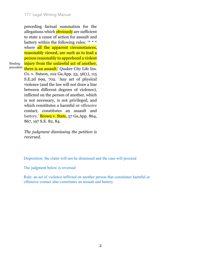preceding factual summation for the allegations which **obviously** are sufficient to state a cause of action for assault and battery within the following rules: '\* \* \* where all the apparent circumstances, reasonably viewed, are such as to lead a person reasonably to apprehend a violent injury from the unlawful act of another, <sup>precedent</sup> there is an assault.' Quaker City Life Ins. Co. v. Sutson, 102 Ga.App. 53, 56(1), 115 S.E.2d 699, 702. 'Any act of physical violence (and the law will not draw a line between different degrees of violence), inflicted on the person of another, which is not necessary, is not privileged, and which constitutes a harmful or offensive contact, constitutes an assault and battery.' **Brown v. State**, 57 Ga.App. 864,

Binding

*The judgment dismissing the petition is reversed.*

Disposition: the claim will not be dismissed and the case will proceed

The judgment below is reversed

867, 197 S.E. 82, 84.

Rule: an act of violence inflicted on another person that constitutes harmful or offensive contact also constitutes an assault and battery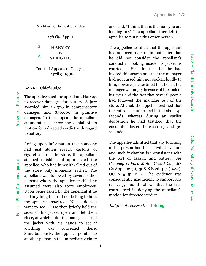Rule: No battery if search is invited

Rule: No battery if search is invited

Modified for Educational Use

178 Ga. App. 1

**HARVEY v. SPEIGHT.** π ∆

Court of Appeals of Georgia. April 9, 1986.

### BANKE, Chief Judge.

The appellee sued the appellant, Harvey, to recover damages for battery. A jury awarded him \$2,500 in compensatory damages and \$30,000 in punitive damages. In this appeal, the appellant enumerates as error the denial of its motion for a directed verdict with regard to battery.

Acting upon information that someone had just stolen several cartons of cigarettes from the store, the appellant stepped outside and approached the appellee, who had himself walked out of the store only moments earlier. The appellant was followed by several other persons whom the appellee testified he assumed were also store employees. Upon being asked by the appellant if he had anything that did not belong to him, the appellee answered, "No, ... do you want to see ..." He then briefly held the sides of his jacket open and let them close, at which point the manager parted the jacket with his hands to see if anything was concealed there. Simultaneously, the appellee pointed to another person in the immediate vicinity

and said, "I think that is the man you are looking for." The appellant then left the appellee to pursue this other person.

The appellee testified that the appellant had not been rude to him but stated that he did not consider the appellant's conduct in looking inside his jacket as courteous. He admitted that he had invited this search and that the manager had not cursed him nor spoken loudly to him; however, he testified that he felt the manager was angry because of the look in his eyes and the fact that several people had followed the manager out of the store. At trial, the appellee testified that the entire encounter had lasted about 45 seconds, whereas during an earlier deposition he had testified that the encounter lasted between 15 and 30 seconds.

The appellee admitted that any touching of his person had been invited by him; and such invitation is inconsistent with the tort of assault and battery. See *Crowley v. Ford Motor Credit Co.,* 168 Ga.App. 162(1), 308 S.E.2d 417 (1983); OCGA § 51–11–2. The evidence was consequently insufficient to support any recovery, and it follows that the trial court erred in denying the appellant's motion for directed verdict.

*Judgment reversed.* Holding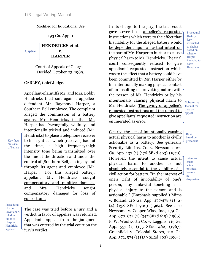193 Ga. App. 1

#### **HENDRICKS et al. v. HARPER** Caption

Court of Appeals of Georgia. Decided October 23, 1989.

# CARLEY, Chief Judge.

Appellant-plaintiffs Mr. and Mrs. Bobby Hendricks filed suit against appelleedefendant Mr. Raymond Harper, a Southern Bell employee. The complaint alleged the commission of a battery against Mr. Hendricks, in that Mr. Harper had "wrongfully, willfully, and intentionally tricked and induced [Mr. Hendricks] to place a telephone receiver to his right ear which [receiver] had, at the time, a high frequency/high intensity tone being transmitted over the line at the direction and under the control of [Southern Bell], acting by and through its agent and employee [Mr. Harper]." For this alleged battery, appellant Mr. Hendricks sought compensatory and punitive damages and Mrs. Hendricks sought compensatory damages for loss of consortium.

on issue of battery

Key facts

Procedural History: lower court ruled in favor of Harper-**Hendricks** appealed

The case was tried before a jury and a verdict in favor of appellee was returned. Appellants appeal from the judgment that was entered by the trial court on the jury's verdict.

In its charge to the jury, the trial court gave several of appellee's requested instructions which were to the effect that his liability for the alleged battery would be dependent upon an actual intent on the part of Mr. Harper to hurt or to cause physical harm to Mr. Hendricks. The trial court consequently refused to give appellants' requested instruction which was to the effect that a battery could have been committed by Mr. Harper either by his intentionally making physical contact of an insulting or provoking nature with the person of Mr. Hendricks or by his intentionally causing physical harm to Mr. Hendricks. The giving of appellee's requested instructions and the refusal to give appellants' requested instruction are enumerated as error.

Clearly, the act of intentionally causing actual physical harm to another is civilly actionable as a battery. See generally Security Life Ins. Co. v. Newsome, 122 Ga. App. 137 (1) (176 SE2d 463) (1970). However, the intent to cause actual physical harm to another is not absolutely essential to the viability of a civil action for battery. "In the interest of one's right of inviolability of one's person, any unlawful touching is a physical injury to the person and is actionable." (Emphasis supplied.) Mims v. Boland, 110 Ga. App. 477-478 (1) (a) (4) (138 SE2d 902) (1964). See also Newsome v. Cooper-Wiss, Inc., 179 Ga. App. 670, 672 (1) (347 SE2d 619) (1986); F. W. Woolworth Co. v. Loggins, 115 Ga. App. 557 (1) (155 SE2d 462) (1967). Greenfield v. Colonial Stores, 110 Ga. App. 572, 574 (1) (139 SE2d 403) (1964);

Procedural History: jury instructed to decide based on whether **Harper** intended to harm **Hendricks** 

Substantive facts of the case on appeal

> Rule based on precedent

Intent to cause actual physical harm is not dispositive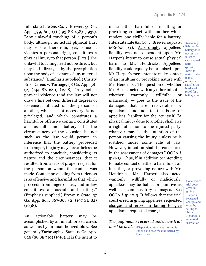Interstate Life &c. Co. v. Brewer, 56 Ga. App. 599, 605 (1) (193 SE 458) (1937). "Any unlawful touching of a person's body, although no actual physical hurt may ensue therefrom, yet, since it violates a personal right, constitutes a physical injury to that person. [Cits.] The unlawful touching need not be direct, but may be indirect, as by the precipitation upon the body of a person of any material substance." (Emphasis supplied.) Christy Bros. Circus v. Turnage, 38 Ga. App. 581 (2) (144 SE 680) (1928). "Any act of physical violence (and the law will not draw a line between different degrees of violence), inflicted on the person of another, which is not necessary, is not privileged, and which constitutes a harmful or offensive contact, constitutes an assault and battery. If the circumstances of the occasion be not such as the law would permit an inference that the battery proceeded from anger, the jury may nevertheless be authorized to conclude, considering its nature and the circumstances, that it resulted from a lack of proper respect for the person on whom the contact was made. Contact proceeding from rudeness is as offensive and harmful as that which proceeds from anger or lust, and in law constitutes an assault and battery." (Emphasis supplied.) Brown v. State, 57 Ga. App. 864, 867-868 (2) (197 SE 82) (1938).

An actionable battery may be accomplished by an unauthorized caress as well as by an unauthorized blow. See generally Yarbrough v. State, 17 Ga. App. 828 (88 SE 710) (1916). It is the intent to

make either harmful or insulting or provoking contact with another which renders one civilly liable for a battery. Interstate Life &c. Co. v. Brewer, supra at 606-607 (1). Accordingly, appellees' liability was not dependent upon Mr. Harper's intent to cause actual physical harm to Mr. Hendricks. Appellees' liability could equally be premised upon Mr. Harper's mere intent to make contact of an insulting or provoking nature with Mr. Hendricks. The question of whether Mr. Harper acted with any other intent whether wantonly, willfully or maliciously  $-$  goes to the issue of the damages that are recoverable by appellants and not to the issue of appellees' liability for the act itself. "A physical injury done to another shall give a right of action to the injured party, whatever may be the intention of the person causing the injury, unless he is justified under some rule of law. However, intention shall be considered in the assessment of damages." OCGA § 51-1-13. Thus, if in addition to intending to make contact of either a harmful or an insulting or provoking nature with Mr. Hendricks, Mr. Harper also acted wantonly, willfully or maliciously, appellees may be liable for punitive as well as compensatory damages. See OCGA § 51-12-5. It follows that the trial court erred in giving appellees' requested charges and erred in failing to give appellants' requested charge.

Reasoning: liability for battery does not rest on intent to cause actual harm (physical). Intent to make contact that is offensive satisfies the burden of proof for a battery claim.

Conclusion: trial court erred in giving Harper's requested charges and erred by failing to follow Hendrick's requested instruction

*The judgment is reversed and a new trial* 

*must be held.* -Disposition: lower court ruling is undone and case must be retried by lower court.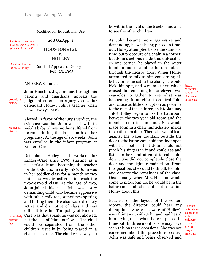Citation: Houston v. Holley, 208 Ga. App. 1 (Ga. Ct. App. 1993).

208 Ga.App. 1

# **HOUSTON et al. v. HOLLEY**

Caption: Houston et al. v. Holley

Court of Appeals of Georgia. Feb. 23, 1993.

### ANDREWS, Judge.

John Houston, Jr., a minor, through his parents and guardians, appeals the judgment entered on a jury verdict for defendant Holley, John's teacher when he was two years old.

Viewed in favor of the jury's verdict, the evidence was that John was a low birth weight baby whose mother suffered from toxemia during the last month of her pregnancy. At the age of six weeks, John was enrolled in the infant program at Kinder–Care. procedural

> Defendant Holley had worked for Kinder–Care since 1979, starting as a teacher's aide and becoming the teacher for the toddlers. In early 1986, John was in her toddler class for a month or two until she was transferred to teach the two-year-old class. At the age of two, John joined this class. John was a very demanding child who became aggressive with other children, sometimes spitting and hitting them. He also was extremely active and disruptive of class and was difficult to calm. The policy of Kinder– Care was that spanking was not allowed, but the use of "time-out" was. The child could be separated from the other children, usually by being placed in a chair in a corner. The child was always to

be within the sight of the teacher and able to see the other children.

As John became more aggressive and demanding, he was being placed in timeout. Holley attempted to use the standard time-out procedure of a chair in a corner, but John's actions made this unfeasible. In one corner, he played in the water fountain and in another he ran outside through the nearby door. When Holley attempted to talk to him concerning his behavior as he sat in the chair, he would kick, hit, spit, and scream at her, which Facts: caused the remaining ten or eleven twoyear-olds to gather to see what was **D** at issue happening. In an effort to control John in the case and cause as little disruption as possible to the rest of the children, in late January 1988 Holley began to use the bathroom between the two-year-old room and the infants' room for time-out. She would place John in a chair immediately inside the bathroom door. Then, she would lean against the water fountain outside the door to the bathroom, hold the door open with her foot so that John could not pinch his fingers in it and could see and listen to her, and attempt to calm him down. She did not completely close the door and the lights remained on. From this position, she could both talk to John and observe the remainder of the class. Occasionally, when Mrs. Houston would come to pick John up, he would be in the bathroom and she did not question Holley about this.

Because of the layout of the center, Moore, the director, could hear any Relevant disruptions. She was aware of Holley's use of time-out with John and had heard him crying once when he was placed in childcare time-out. In three months, she may have seen this on three occasions. She was not concerned about the procedure because John was safe and being observed and accordance

facts: shows

with

policy of how to carry out time-outs

history

procedural history

particularly relevant fact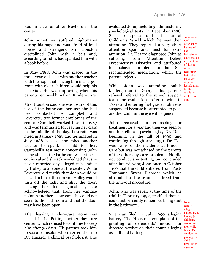was in view of other teachers in the center.

John sometimes suffered nightmares during his naps and was afraid of loud noises and strangers. Mr. Houston disciplined John with a belt and, according to John, had spanked him with a book before.

In May 1988, John was placed in the three-year-old class with another teacher with the hope that placing him in a larger room with older children would help his behavior. He was improving when his parents removed him from Kinder–Care.

Mrs. Houston said she was aware of this use of the bathroom because she had been contacted by Campbell and Leverette, two former employees of the center. Campbell worked there in 1987 and was terminated for leaving her class in the middle of the day. Leverette was hired in January 1988 and terminated in July 1988 because she asked another teacher to spank a child for her. Campbell's testimony concerning John being shut in the bathroom was, at best, equivocal and she acknowledged that she never reported any alleged misconduct by Holley to anyone at the center. While Leverette did testify that John would be placed in the bathroom and Holley would turn off the light and shut the door, placing her foot against it, she acknowledged that, from her vantage point in another classroom, she could not see into the bathroom and that the door may have been open.

After leaving Kinder–Care, John was placed in La Petite, another day care center, which refused to continue to keep him after 30 days. His parents took him to see a counselor who referred them to Dr. Hazard, a clinical psychologist. She

evaluated John, including administering psychological tests, in December 1988. She also spoke to his teacher at  $_{John has a}$ Children's World which he was then wellattending. They reported a very short attention span and need for extra  $_{bad}^{max}$ attention. Dr. Hazard diagnosed John as behavior – suffering from Attention Hyperactivity Disorder and attributed his behavior problems to that. She actual recommended medication, which the reasoning, parents rejected. Deficit court makes

While John was attending public justification kindergarten in Georgia, his parents refused referral to the school support  $\frac{1}{\text{of the time}}$ team for evaluation. After moving to outs Texas and entering first grade, John was suspended because he attempted to poke another child in the eye with a pencil.

John received no counseling or treatment for a year and then was seen by another clinical psychologist, Dr. Ude, beginning in the fall of 1990 and continuing through April 1991. Dr. Ude was aware of the incidents at Kinder– Care but was not advised by the parents of the other day care problems. He did not conduct any testing, but concluded after interviewing John once in October 1990 that the child suffered from Post-Traumatic Stress Disorder which he attributed to the trauma suffered from the time-out procedure.

John, who was seven at the time of the trial in February 1992, testified that he could not presently remember being shut in the bathroom.

Suit was filed in July 1990 alleging battery. The Houstons complain of the  $\frac{1}{\text{children}}$ granting of defendants' motion for directed verdict on their count alleging assault and battery.

established history of no mention of this in but it does go to the original for the escalation

Issue: family alleges battery by D Holley (a worker) on their child from D's conduct in placing the child in time-out at daycare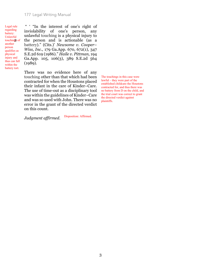Legal rule regarding battery: Unlawful touchings of another person qualifies as physical injury and thus can fall within the battery tort.

" ' "In the interest of one's right of inviolability of one's person, any unlawful touching is a physical injury to the person and is actionable (as a battery)." (Cits.)' *Newsome v. Cooper– Wiss, Inc.,* 179 Ga.App. 670, 672(1), 347 S.E.2d 619 (1986)." *Haile v. Pittman,* 194 Ga.App. 105, 106(3), 389 S.E.2d 564 (1989).

There was no evidence here of any touching other than that which had been contracted for when the Houstons placed their infant in the care of Kinder–Care. The use of time-out as a disciplinary tool was within the guidelines of Kinder–Care and was so used with John. There was no error in the grant of the directed verdict on this count.

The touchings in this case were lawful – they were part of the established childcare the Houstons contracted for, and thus there was no battery from D on the child, and the trial court was correct to grant the directed verdict against plaintiffs.

*Judgment affirmed.* Disposition: Affirmed.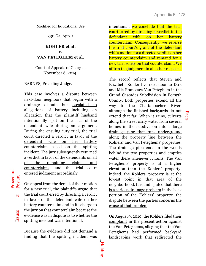Facts

Modified for Educational Use

330 Ga. App. 1

# **KOHLER et al. v. VAN PETEGHEM et al.**

Court of Appeals of Georgia. November 6, 2014.

BARNES, Presiding Judge.

This case involves a dispute between next-door neighbors that began with a drainage dispute but escalated to allegations of battery including an allegation that the plaintiff husband intentionally spat on the face of the defendant wife during an argument. During the ensuing jury trial, the trial court directed a verdict in favor of the defendant wife on her battery counterclaim based on the spitting incident. The jury subsequently returned a verdict in favor of the defendants on all of the remaining claims and counterclaims, and the trial court entered judgment accordingly.

On appeal from the denial of their motion for a new trial, the plaintiffs argue that the trial court erred by directing a verdict in favor of the defendant wife on her battery counterclaim and in its charge to the jury on that counterclaim because the evidence was in dispute as to whether the spitting incident was intentional.

Because the evidence did not demand a finding that the spitting incident was intentional, we conclude that the trial court erred by directing a verdict to the defendant wife on her battery counterclaim. Consequently, we reverse the trial court's grant of the defendant wife's motion for a directed verdict on her battery counterclaim and remand for a new trial solely on that counterclaim. We affirm the judgment in all other respects.

The record reflects that Steven and Elizabeth Kohler live next door to Dirk and Mia Francesca Van Peteghem in the Grand Cascades Subdivision in Forsyth County. Both properties extend all the way to the Chattahoochee River, although the finished backyards do not extend that far. When it rains, culverts along the street carry water from several homes in the subdivision into a large drainage pipe that runs underground along the property line between the Kohlers' and Van Peteghems' properties. The drainage pipe ends in the woods behind the two properties and empties water there whenever it rains. The Van Peteghems' property is at a higher elevation than the Kohlers' property; indeed, the Kohlers' property is at the lowest point in that area of the neighborhood. It is undisputed that there is a serious drainage problem in the back portion of the Kohlers' property; the dispute between the parties concerns the cause of that problem.

On August 9, 2010, the Kohlers filed their complaint in the present action against the Van Peteghems, alleging that the Van Peteghems had performed backyard landscaping work that redirected the

Issues

π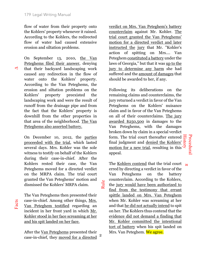flow of water from their property onto the Kohlers' property whenever it rained. According to the Kohlers, the redirected flow of water had caused extensive erosion and siltation problems.

On September 13, 2010, the Van Peteghems filed their answer, denying that their backyard landscaping work caused any redirection in the flow of water onto the Kohlers' property. According to the Van Peteghems, the erosion and siltation problems on the Kohlers' property preexisted the landscaping work and were the result of runoff from the drainage pipe and from the fact that the Kohlers' property is downhill from the other properties in that area of the neighborhood. The Van Peteghems also asserted battery. ∆

> On December 10, 2012, the parties proceeded with the trial, which lasted several days. Mrs. Kohler was the sole witness to testify on behalf of the Kohlers during their case-in-chief. After the Kohlers rested their case, the Van Peteghems moved for a directed verdict on the MRPA claim. The trial court granted the Van Peteghems' motion and dismissed the Kohlers' MRPA claim.

Rule

The Van Peteghems then presented their case-in-chief. Among other things, Mrs. Van Peteghem testified regarding an incident in her front yard in which Mr. Kohler stood in her face screaming at her and his spit landed on her face.

After the Van Peteghems presented their case-in-chief, they moved for a directed 2

verdict on Mrs. Van Peteghem's battery counterclaim against Mr. Kohler. The trial court granted the Van Peteghems' motion for a directed verdict and later instructed the jury that Mr. "Kohler's action of spitting on Mrs.... Van Peteghem constituted a battery under the laws of Georgia," but that it was up to the jury to determine any harm she had suffered and the amount of damages that should be awarded to her, if any.

Following its deliberations on the remaining claims and counterclaims, the jury returned a verdict in favor of the Van Peteghems on the Kohlers' nuisance claim and in favor of the Van Peteghems on all of their counterclaims. The jury awarded \$250,500 in damages to the Van Peteghems, with the damages broken down by claim in a special verdict form. The trial court thereafter entered final judgment and denied the Kohlers' motion for a new trial, resulting in this appeal. History

The <u>Kohlers contend</u> that the trial court erred by directing a verdict in favor of the Van Peteghems on the battery counterclaim. According to the Kohlers, the jury would have been authorized to find from the testimony that errant spittle landed on Mrs. Van Peteghem when Mr. Kohler was screaming at her and that he did not actually intend to spit on her. The Kohlers thus contend that the evidence did not demand a finding that Mr. Kohler committed the intentional tort of battery when his spit landed on Mrs. Van Peteghem. We agree.

# Procedural Procedura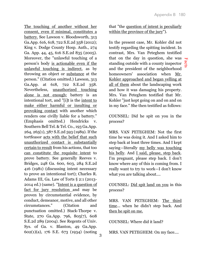The touching of another without her consent, even if minimal, constitutes a battery. See Lawson v. Bloodsworth, 313 Ga.App. 616, 618, 722 S.E.2d 358 (2012); King v. Dodge County Hosp. Auth., 274 Ga. App. 44, 45, 616 S.E.2d 835 (2005). Moreover, the "unlawful touching of a person's body is actionable even if the unlawful touching is indirect, as by throwing an object or substance at the person." (Citation omitted.) Lawson, 313 Ga.App. at 618, 722 S.E.2d 358. Nevertheless, unauthorized touching alone is not enough; battery is an intentional tort, and "[i]t is the intent to make either harmful or insulting or provoking contact with another which renders one civilly liable for a battery." (Emphasis omitted.) Hendricks v. Southern Bell Tel. & Tel. Co., 193 Ga.App. 264, 265(1), 387 S.E.2d 593 (1989). If the tortfeasor acts with the belief that such unauthorized contact is substantially certain to result from his actions, that too can constitute the requisite intent to prove battery. See generally Reeves v. Bridges, 248 Ga. 600, 603, 284 S.E.2d 416 (1981) (discussing intent necessary to prove an intentional tort); Charles R. Adams III, Ga. Law of Torts § 2:1 (2013- 2014 ed.) (same). "Intent is a question of fact for jury resolution and may be proven by circumstantial evidence, by conduct, demeanor, motive, and all other circumstances." (Citation and punctuation omitted.) Stack-Thorpe v. State, 270 Ga.App. 796, 805(7), 608 S.E.2d 289 (2004). See Regents of Univ. Sys. of Ga. v. Blanton, 49 Ga.App. 602(1)(a), 176 S.E. 673 (1934) (noting

that "the question of intent is peculiarly within the province of the jury").

In the present case, Mr. Kohler did not testify regarding the spitting incident. In contrast, Mrs. Van Peteghem testified that on the day in question, she was that on the day in question, she was  $\frac{1}{6}$ <br>standing outside with a county inspector and the president of the neighborhood homeowners' association when Mr. Kohler approached and began yelling at all of them about the landscaping work and how it was damaging his property. Mrs. Van Peteghem testified that Mr. Kohler "just kept going on and on and on in my face." She then testified as follows:

COUNSEL: Did he spit on you in the process?

MRS. VAN PETEGHEM: Not the first time he was doing it. And I asked him to step back at least three times. And I kept saying—literally my belly was touching his belly. And I said, please, step back. I'm pregnant, please step back. I don't know where any of this is coming from. I really want to try to work—I don't know what you are talking about....

COUNSEL: Did spit land on you in this process?

MRS. VAN PETEGHEM: The third time... when he didn't step back. And then he spit on me.

COUNSEL: Where did it land?

MRS. VAN PETEGHEM: On my face....

3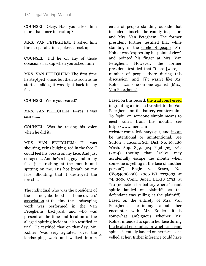COUNSEL: Okay. Had you asked him more than once to back up?

MRS. VAN PETEGHEM: I asked him three separate times, please, back up.

COUNSEL: Did he on any of those occasions backup when you asked him?

MRS. VAN PETEGHEM: The first time he step[ped] once, but then as soon as he started talking it was right back in my face.

COUNSEL: Were you scared?

MRS. VAN PETEGHEM: I—yes, I was scared....

COUNSEL: Was he raising his voice when he did it? ...

MRS. VAN PETEGHEM: He was shouting, veins bulging, red in the face. I could feel his breath on my face. And just enraged.... And he's a big guy and in my face just frothing at the mouth and spitting on me. His hot breath on my face. Shouting that I destroyed the forest....

The individual who was the president of the neighborhood homeowners' association at the time the landscaping work was performed in the Van Peteghems' backyard, and who was present at the time and location of the alleged spitting incident, also testified at trial. He testified that on that day, Mr. Kohler "was very agitated" over the landscaping work and walked into a

circle of people standing outside that included himself, the county inspector, and Mrs. Van Peteghem. The former president further testified that while standing in the circle of people, Mr. Kohler was "expressing his point of view" and pointed his finger at Mrs. Van Peteghem. However, the former president testified that "there [were] a number of people there during this discussion" and "[i]t wasn't like Mr. Kohler was one-on-one against [Mrs.] Van Peteghem."

Based on this record, the trial court erred in granting a directed verdict to the Van Peteghems on the battery counterclaim. To "spit" on someone simply means to eject saliva from the mouth, see http://www.merriam-

webster.com/dictionary/spit, and it can be intentional or unintentional. See Sutton v. Tacoma Sch. Dist. No. 10, 180 Wash. App. 859, 324 P.3d 763, 767 (2014) (noting that "saliva may accidentally escape the mouth when someone is yelling in the face of another person"); Engle v. Bosco, No. CV054006996S, 2006 WL 2773603, at \*4, 2006 Conn. Super. LEXIS 2792, at \*10 (no action for battery where "errant spittle landed on plaintiff" as the defendant was yelling at the plaintiff). Based on the entirety of Mrs. Van Peteghem's testimony about her encounter with Mr. Kohler, it is somewhat ambiguous whether Mr. Kohler intended to spit in her face during the heated encounter, or whether errant spit accidentally landed on her face as he yelled at her. Either inference could have 4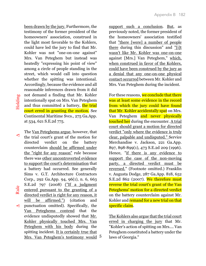been drawn by the jury. Furthermore, the testimony of the former president of the homeowners' association, construed in the light most favorable to the Kohlers, could have led the jury to find that Mr. Kohler was not "one-on-one against" Mrs. Van Peteghem but instead was heatedly "expressing his point of view" among a circle of people standing in the street, which would call into question whether the spitting was intentional. Accordingly, because the evidence and all reasonable inferences drawn from it did not demand a finding that Mr. Kohler intentionally spat on Mrs. Van Peteghem and thus committed a battery, the trial court erred in granting the motion. See Continental Maritime Svcs., 275 Ga.App. at 534, 621 S.E.2d 775.

Holding

A Rule  $\Delta$  Holding The Van Peteghems argue, however, that ∆the trial court's grant of the motion for directed verdict on the battery counterclaim should be affirmed under the "right for any reason" rule because there was other uncontroverted evidence to support the court's determination that a battery had occurred. See generally Sims v. G.T. Architecture Contractors Corp., 292 Ga.App. 94, 96(1), n. 6, 663 S.E.2d 797 (2008) ("If a judgment Rule entered pursuant to the granting of a directed verdict is right for any reason, it will be affirmed.") (citation and punctuation omitted). Specifically, the ∆Van Peteghems contend that the evidence undisputedly showed that Mr. Kohler physically touched Mrs. Van Peteghem with his body during the spitting incident. It is certainly true that Mrs. Van Peteghem's testimony would 5

support such a conclusion. But, as previously noted, the former president of the homeowners' association testified that "there [were] a number of people there during this discussion" and "[i]t wasn't like Mr. Kohler was one-on-one against [Mrs.] Van Peteghem," which, when construed in favor of the Kohlers, could have been construed by the jury as a denial that any one-on-one physical contact occurred between Mr. Kohler and Mrs. Van Peteghem during the incident.

For these reasons, we conclude that there was at least some evidence in the record from which the jury could have found that Mr. Kohler accidentally spat on Mrs. Van Peteghem and never physically touched her during the encounter. A trial court should grant a motion for directed verdict "only where the evidence is truly clear, palpable and undisputed." Service Merchandise v. Jackson, 221 Ga.App. 897, 898-899(1), 473 S.E.2d 209 (1996). Hence, "if there is any evidence to support the case of the non-moving party, a directed verdict must be reversed." (Footnote omitted.) Franklin v. Augusta Dodge, 287 Ga.App. 818, 652 S.E.2d 862 (2007). We therefore must reverse the trial court's grant of the Van Peteghems' motion for a directed verdict on the battery counterclaim against Mr. Kohler and remand for a new trial on that specific claim.

The Kohlers also argue that the trial court erred in charging the jury that Mr. "Kohler's action of spitting on Mrs.... Van Peteghem constituted a battery under the laws of Georgia."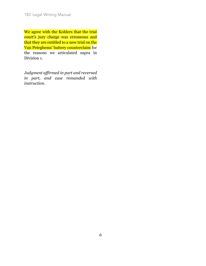We agree with the Kohlers that the trial court's jury charge was erroneous and that they are entitled to a new trial on the Van Peteghems' battery counterclaim for the reasons we articulated supra in Division 1.

*Judgment affirmed in part and reversed in part, and case remanded with instruction.*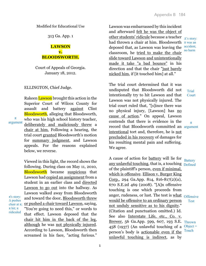313 Ga. App. 1

# **LAWSON v. BLOODSWORTH.**

Court of Appeals of Georgia. January 18, 2012.

ELLINGTON, Chief Judge.

π argument

 $\pi$ 's story: ∆ pushes

 $\pi$  hit;  $\pi$ ridiculed Rakeen Lawson brought this action in the Superior Court of Wilcox County for assault and battery against Clint **Bloodsworth**, alleging that Bloodsworth, who was his high school history teacher, deliberately and maliciously threw a chair at him. Following a hearing, the trial court granted Bloodsworth's motion for summary judgment, and Lawson appeals. For the reasons explained below, we reverse.

Viewed in this light, the record shows the following. During class on May 11, 2010, Bloodsworth became suspicious that Lawson had copied an assignment from a student in an earlier class and directed Lawson to go out into the hallway. As Lawson walked away from Bloodsworth and toward the door, Bloodsworth threw chair at  $\pi$ ; or pushed a chair toward Lawson, saying, "You're going to need this," or words to that effect. Lawson deposed that the chair hit him in the back of the leg, although he was not physically injured. According to Lawson, Bloodsworth then screamed in his face, "acting furious."

Lawson was embarrassed by this incident and afterward felt he was the object of <u>other students' ridicule</u> because a teacher <sub>∆'s story:</sub> had thrown a chair at him. Bloodsworth it was an deposed that, as Lawson was leaving the classroom, he tried to make the chair slide toward Lawson and unintentionally made it take "a bad bounce" in his direction and that the chair "just barely nicked him, if [it touched him] at all." accident, no harm

The trial court determined that it was undisputed that Bloodsworth did not intentionally try to hit Lawson and that Lawson was not physically injured. The trial court ruled that, "[s]ince there was no physical injury, [Lawson] has no cause of action." On appeal, Lawson contends that there is evidence in the record that Bloodsworth committed an argument intentional tort and, therefore, he is not precluded in his recovery of damages for his resulting mental pain and suffering. We agree.

A cause of action for battery will lie for any unlawful touching, that is, a touching **Defined** of the plaintiff's person, even if minimal, which is offensive. Ellison v. Burger King Corp., 294 Ga.App. 814, 816-817(2)(a), 670 S.E.2d 469 (2008). "[A]n offensive touching is one which proceeds from anger, rudeness, or lust. The test is <u>what</u> <sub>Offensive</sub> would be offensive to an ordinary person not unduly sensitive as to his dignity." (Citation and punctuation omitted.) Id. See also Interstate Life, etc., Co. v. Brewer, 56 Ga.App. 599, 607, 193 S.E. Thrown 458 (1937) (An unlawful touching of a Object = person's body is actionable even if the unlawful touching is indirect, as by

Court

**Trial** 

π

**Battery**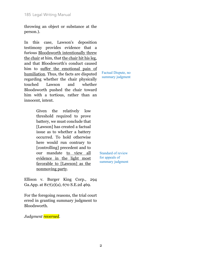throwing an object or substance at the person.).

In this case, Lawson's deposition testimony provides evidence that a furious Bloodsworth intentionally threw the chair at him, that the chair hit his leg, and that Bloodsworth's conduct caused him to suffer the emotional pain of humiliation. Thus, the facts are disputed regarding whether the chair physically touched Lawson and whether Bloodsworth pushed the chair toward him with a tortious, rather than an innocent, intent.

> Given the relatively low threshold required to prove battery, we must conclude that [Lawson] has created a factual issue as to whether a battery occurred. To hold otherwise here would run contrary to [controlling] precedent and to our mandate to view all evidence in the light most favorable to [Lawson] as the nonmoving party.

Factual Dispute, no summary judgment

Standard of review for appeals of summary judgment

Ellison v. Burger King Corp., 294 Ga.App. at 817(2)(a), 670 S.E.2d 469.

For the foregoing reasons, the trial court erred in granting summary judgment to Bloodsworth.

*Judgment reversed.*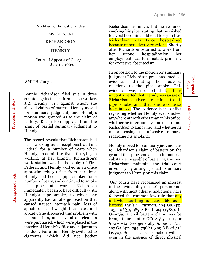**Undisputed** Facts

Undisputed

Disputed Facts

Disputed Facts

Modified for Educational Use

209 Ga. App. 1

### **RICHARDSON v. HENNLY**

Court of Appeals of Georgia. July 15, 1993.

SMITH, Judge.

Procedural History Procedural History

Background Facts

**Background Facts** 

Bonnie Richardson filed suit in three counts against her former co-worker, J.R. Hennly, Jr., against whom she alleged claims of battery. Henley moved for summary judgment, and Hennly's motion was granted as to the claim of battery. Richardson appeals from the grant of partial summary judgment to Hennly.

The record reveals that Richardson had been working as a receptionist at First Federal for a number of years when Hennly, an administrative officer, began working at her branch. Richardson's work station was in the lobby of First Federal, and Hennly worked in an office approximately 30 feet from her desk. Hennly had been a pipe smoker for a number of years, and continued to smoke his pipe at work. Richardson immediately began to have difficulty with Hennly's pipe smoke, to which she apparently had an allergic reaction that caused nausea, stomach pain, loss of appetite, loss of weight, headaches, and anxiety. She discussed this problem with her superiors, and several air cleaners were purchased, which were placed in the interior of Hennly's office and adjacent to his door. For a time Hennly switched to cigarettes, which did not bother

Richardson as much, but he resumed smoking his pipe, stating that he wished to avoid becoming addicted to cigarettes. Richardson was twice hospitalized because of her adverse reactions. Shortly after Richardson returned to work from her second hospitalization her employment was terminated, primarily for excessive absenteeism.

In opposition to the motion for summary judgment Richardson presented medical evidence attributing her adverse reactions to the pipe smoke. This evidence was not rebutted. It is uncontroverted that Hennly was aware of Richardson's adverse reactions to his pipe smoke and that she was twice hospitalized. The evidence is in conflict regarding whether Hennly ever smoked anywhere at work other than in his office; whether he intentionally smoked around Richardson to annoy her; and whether he made teasing or offensive remarks regarding his smoking.

Hennly moved for summary judgment as to Richardson's claim of battery on the ground that pipe smoke is an immaterial substance incapable of battering another. Richardson maintains the trial court erred by granting partial summary judgment to Hennly on this claim.

Our courts have recognized an interest in the inviolability of one's person and, along with most other jurisdictions, have followed the common law rule that **any** unlawful touching is actionable as a battery. *Haile v. Pittman,* 194 Ga.App. 105, 106(3), 389 S.E.2d 564 (1989). In Georgia, a civil battery claim may be brought pursuant to OCGA § 51–1–13 or § 51–1–14. See generally *Joiner v. Lee,* 197 Ga.App. 754, 756(1), 399 S.E.2d 516 (1990). Such a cause of action will lie even in the absence of direct physical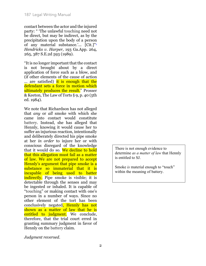contact between the actor and the injured party: " 'The unlawful touching need not be direct, but may be indirect, as by the precipitation upon the body of a person of any material substance.'... [Cit.]"1 *Hendricks v. Harper,* 193 Ga.App. 264, 265, 387 S.E.2d 593 (1989).

"It is no longer important that the contact is not brought about by a direct application of force such as a blow, and (if other elements of the cause of action ... are satisfied) it is enough that the defendant sets a force in motion which ultimately produces the result." Prosser & Keeton, The Law of Torts § 9, p. 40 (5th ed. 1984).

We note that Richardson has not alleged that *any* or *all* smoke with which she came into contact would constitute battery. Instead, she has alleged that Hennly, knowing it would cause her to suffer an injurious reaction, intentionally and deliberately directed his pipe smoke at her *in order* to injure her or with conscious disregard of the knowledge that it would do so. We decline to hold that this allegation must fail as a matter of law. We are not prepared to accept Hennly's argument that pipe smoke is a substance so immaterial that it is incapable of being used to batter indirectly. Pipe smoke is visible; it is detectable through the senses and may be ingested or inhaled. It is capable of "touching" or making contact with one's person in a number of ways. Since no other element of the tort has been conclusively negated, Hennly has not shown as a matter of law that he is entitled to judgment. We conclude, therefore, that the trial court erred in granting summary judgment in favor of Hennly on the battery claim.

There is not enough evidence to determine *as a matter of law* that Hennly is entitled to SJ.

Smoke *is* material enough to "touch" within the meaning of battery.

*Judgment reversed.*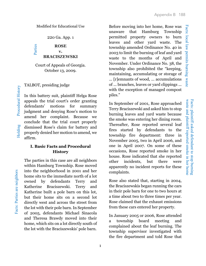Facts: local law permits burning waste Facts: local law permits burning waste

waste and plaintiff reported smoke in her home waste and plaintiff reported smoke in her home Facts: plaintiff asked defendant to stop burning Facts: plaintiff asked defendant to stop burning

Modified for Educational Use

220 Ga. App. 1

**ROSE v. BRACISZEWSKI** Parties

Court of Appeals of Georgia. October 13, 2009.

TALBOT, presiding judge

In this battery suit, plaintiff Helga Rose appeals the trial court's order granting defendants' motions for summary judgment and denying Rose's motion to amend her complaint. Because we conclude that the trial court properly dismissed Rose's claim for battery and properly denied her motion to amend, we affirm.

# **I. Basic Facts and Procedural History**

The parties in this case are all neighbors within Hamburg Township. Rose moved into the neighborhood in 2001 and her home sits to the immediate north of a lot owned by defendants Terry and Katherine Braciszewski. Terry and Katherine built a pole barn on this lot, but their home sits on a second lot directly west and across the street from the lot with their pole barn. In September of 2005, defendants Michael Sinacola and Theresa Brawdy moved into their home, which sits on a lot directly south of the lot with the Braciszewskis' pole barn.

Before moving into her home, Rose was unaware that Hamburg Township permitted property owners to burn leaves and other yard waste. The township amended Ordinance No. 40 in 2003 to limit the burning of leaf and yard waste to the months of April and November. Under Ordinance No. 38, the township also prohibited the "keeping, maintaining, accumulating or storage of ... [r]emnants of wood, ... accumulations of ... branches, leaves or yard clippings ... with the exception of managed compost piles."

In September of 2001, Rose approached Terry Braciszewski and asked him to stop burning leaves and yard waste because the smoke was entering her dining room. Thereafter, Rose reported several leaf fires started by defendants to the township fire department: three in November 2005, two in April 2006, and one in April 2007. On some of these occasions, Rose reported smoke in her house. Rose indicated that she reported other incidents, but there were apparently no incident reports for these complaints.

Rose also stated that, starting in 2004, the Braciszewskis began running the cars in their pole barn for one to two hours at a time about two to three times per year. Rose claimed that the exhaust emissions from these cars entered her property.

In January 2005 or 2006, Rose attended a township board meeting and complained about the leaf burning. The township supervisor investigated with the fire department and told Rose that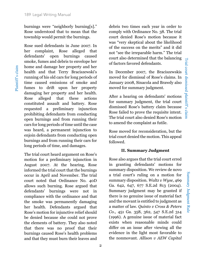Summary Judgment Rule

Summary Judgment Rule

Plaintiff's claim

Plaintiff's claim

burnings were "neighborly burning[s]." Rose understood that to mean that the township would permit the burnings.

Rose sued defendants in June 2007. In her complaint, Rose alleged that defendants' open burnings caused smoke, fumes and debris to envelope her home and damage her property and her health and that Terry Braciszewski's running of his old cars for long periods of time caused emissions of smoke and fumes to drift upon her property damaging her property and her health. Rose alleged that these actions constituted assault and battery. Rose requested a preliminary injunction prohibiting defendants from conducting open burnings and from running their cars for long periods of time until the case was heard, a permanent injunction to enjoin defendants from conducting open burnings and from running their cars for long periods of time, and damages.

The trial court heard argument on Rose's motion for a preliminary injunction in August 2007. At the hearing, Rose informed the trial court that the burnings occur in April and November. The trial court noted that Ordinance No. 40D allows such burning. Rose argued that defendants' burnings were not in compliance with the ordinance and that the smoke was permanently damaging her health. Defendants argued that Rose's motion for injunctive relief should be denied because she could not prove the elements of battery. They also noted that there was no proof that their burnings caused Rose's health problems and that they must burn their leaves and

2

debris two times each year in order to comply with Ordinance No. 38. The trial court denied Rose's motion because it was "very skeptical about the likelihood of the success on the merits" and it did not "see the irreparable harm." The trial court also determined that the balancing of factors favored defendants.

In December 2007, the Braciszewskis moved for dismissal of Rose's claims. In January 2008, Sinacola and Brawdy also moved for summary judgment.

After a hearing on defendants' motions for summary judgment, the trial court dismissed Rose's battery claim because Rose failed to prove the requisite intent. The trial court also denied Rose's motion to amend the complaint as futile.

Rose moved for reconsideration, but the trial court denied the motion. This appeal followed.

## **II. Summary Judgment**

Rose also argues that the trial court erred in granting defendants' motions for summary disposition. We review de novo a trial court's ruling on a motion for summary disposition. *Waltz v Wyse*, 469 Ga. 642, 647, 677 S.E.2d 813 (2004). Summary judgment may be granted if there is no genuine issue of material fact and the movant is entitled to judgment as a matter of law. *Quinto v Cross & Peters Co.*, 451 Ga. 358, 362, 547 S.E.2d 314 (1996). A genuine issue of material fact exists when reasonable minds could differ on an issue after viewing all the evidence in the light most favorable to the nonmovant. *Allison v AEW Capital*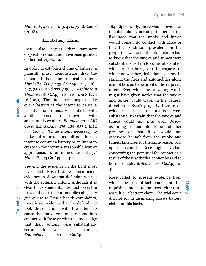*Mgt. LLP*, 481 Ga. 419, 424, 751 S.E.2d 8 (2008).

# **III. Battery Claim**

Rose also argues that summary disposition should not have been granted on her battery claim.

In order to establish claims of battery, a plaintiff must demonstrate that the defendant had the requisite intent. *Mitchell v Daly*, 133 Ga.App. 414, 426– 427, 350 S.E.2d 772 (1984); *Espinoza v Thomas*, 189 G.App. 110, 119; 472 S.E.2d 16 (1991). The intent necessary to make out a battery is the intent to cause a harmful or offensive contact with another person, or knowing, with substantial certainty, *Boumelhem v BIC Corp*, 211 Ga.App. 175, 184, 535 S.E.2d 574 (1995). "[T]he intent necessary to make out a tortious assault is either an intent to commit a battery or an intent to create in the victim a reasonable fear or apprehension of an immediate battery." *Mitchell*, 133 Ga.App. at 427.

Viewing the evidence in the light most favorable to Rose, there was insufficient evidence to show that defendants acted with the requisite intent. Although it is clear that defendants intended to set the fires and start the automobiles allegedly giving rise to Rose's health complaints, there is no evidence that the defendants took those actions with the intent to cause the smoke or fumes to come into contact with Rose or with the knowledge that their actions were substantially certain to cause such contact. *Boumelhem*, 211 Ga.App. at

184. Specifically, there was no evidence that defendants took steps to increase the likelihood that the smoke and fumes would come into contact with Rose or that the conditions prevalent on the properties was such that defendants had to know that the smoke and fumes were substantially certain to come into contact with her. Further, given the vagaries of wind and weather, defendants' actions in starting the fires and automobiles alone cannot be said to be proof of the requisite intent. Even when the prevailing winds might have given notice that the smoke and fumes would travel in the general direction of Rose's property, there is no evidence that defendants were substantially certain that the smoke and fumes would not pass over Rose assuming defendants knew of her presence—or that Rose would not otherwise be safe from the smoke and fumes. Likewise, for the same reason, any apprehension that Rose might have had concerning the potential for contact as a result of these activities cannot be said to be reasonable. *Mitchell*, 133 Ga.App. at 427.

Rose failed to present evidence from which the trier-of-fact could find the requisite intent to support either an assault or a battery claim. The trial court did not err in dismissing Rose's battery claim on this basis.

Holding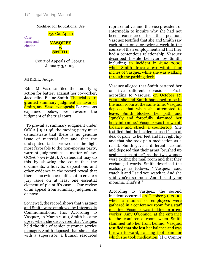259 Ga. App. 1

Case name and citation



Court of Appeals of Georgia. January 3, 2003.

MIKELL, Judge.

Edna M. Vasquez filed the underlying action for battery against her co-worker, Jacqueline Elaine Smith. The trial court granted summary judgment in favor of Smith, and Vasquez appeals. For reasons explained below, we reverse the judgment of the trial court.

 To prevail at summary judgment under OCGA § 9-11-56, the moving party must demonstrate that there is no genuine issue of material fact and that the undisputed facts, viewed in the light most favorable to the non-moving party, warrant judgment as a matter of law. OCGA § 9-11-56(c). A defendant may do this by showing the court that the documents, affidavits, depositions and other evidence in the record reveal that there is no evidence sufficient to create a jury issue on at least one essential element of plaintiff's case.... Our review of an appeal from summary judgment is de novo.

So viewed, the record shows that Vasquez and Smith were employed by Intermedia Communications, Inc. According to Vasquez, in March 2000, Smith became upset when she discovered that Vasquez held the title of senior customer service manager. Smith deposed that she spoke with a supervisor, a human resources

representative, and the vice president of Intermedia to inquire why she had not been considered for the position. Vasquez testified that she and Smith saw each other once or twice a week in the course of their employment and that they had a contentious relationship. Vasquez described hostile behavior by Smith, including an incident in June 2000, when Smith drove a car within four inches of Vasquez while she was walking through the parking deck.

Vasquez alleged that Smith battered her on five different occasions. First, according to Vasquez, on October 17, 2000, she and Smith happened to be in the mail room at the same time. Vasquez deposed that when she attempted to leave, Smith blocked her path and "quickly and forcefully slammed her body into mine." Vasquez was thrown off balance and struck a countertop. She testified that the incident caused "a great deal of pain" to her feet and her right hip and that she took pain medication as a result. Smith gave a different account and deposed that their arms "brushed up against each other" as the two women were exiting the mail room and that they exchanged words. Smith described the exchange as follows: "[Vasquez] said watch it and I said you watch it. And she said you're so rude. And I said your momma. That's it."

According to Vasquez, the second incident occurred on October 31, 2000, when a number of employees were gathered in a conference room for a staff meeting. Vasquez was talking to a coworker, Amy O'Connor, at the entrance to the conference room when Smith slammed into her from behind. Vasquez testified that she lost her balance and was thrown forward, causing foot pain for which she took medication.<sup>[1]</sup> O'Connor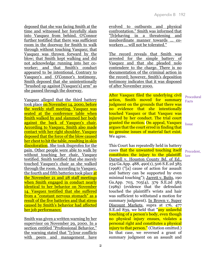deposed that she was facing Smith at the time and witnessed her forcefully slam into Vasquez from behind. O'Connor further testified that there was sufficient room in the doorway for Smith to walk through without touching Vasquez; that Vasquez was thrown forward by the blow; that Smith kept walking and did not acknowledge running into her coworker; and that Smith's conduct appeared to be intentional. Contrary to Vasquez's and O'Connor's testimony, Smith deposed that she unintentionally "brushed up against [Vasquez's] arm" as she passed through the doorway.

Vasquez alleged that the third battery took place on November 14, 2000, before the weekly staff meeting. Vasquez was seated at the conference table when Smith walked by and slammed her body against the back of Vasquez's chair. According to Vasquez, Smith also made contact with her right shoulder. Vasquez deposed that the force of the blow caused her chest to hit the table, resulting in skin discoloration. She took ibuprofen for the pain. Other people were able to walk by without touching her chair, Vasquez testified. Smith testified that she merely touched Vasquez's chair as she walked through the room. According to Vasquez, the fourth and fifth batteries took place at the November 21 and 28 staff meetings when Smith engaged in conduct nearly identical to her behavior on November 14. Vasquez testified that she suffered from a "constant nervous stomach" as a result of the five batteries and that stress caused by Smith's behavior had affected her job performance.

Smith was given a written warning by her supervisor on November 29, 2000. In a section entitled "Professional Behavior," the warning stated that "[y]our conflicts with peers and management have

evolved to outbursts and physical confrontation." Smith was informed that "[b]ehaving in a threatening and insubordinate manner towards ... coworkers ... will not be tolerated."

The record reveals that Smith was arrested for the simple battery of Vasquez and that she pleaded nolo contendere to the charge. There is no documentation of the criminal action in the record; however, Smith's deposition testimony indicates that it was disposed of after November 2000.

After Vasquez filed the underlying civil action, Smith moved for summary judgment on the grounds that there was no evidence that she intentionally touched Vasquez or that Vasquez was injured by her conduct. The trial court granted the motion. On appeal, Vasquez argues that the court erred in finding that no genuine issues of material fact exist. We agree.

This Court has repeatedly held in battery cases that the unwanted touching itself constitutes the injury to the plaintiff. Darnell v. Houston County Bd. of Ed., 234 Ga.App. 488, 490(1), 506 S.E.2d 385 (1998) ("[a] cause of action for assault and battery can be supported by even minimal touching"); Jarrett v. Butts, 190 Ga.App. 703, 705(4), 379 S.E.2d 583 (1989) (evidence that the defendant touched the plaintiff's wrists and hair was sufficient to withstand a motion for summary judgment). In Brown v. Super Discount Markets, supra at 176, 477 S.E. 2d 839, we held that "any unlawful touching of a person's body, even though no physical injury ensues, violates a personal right and constitutes a physical injury to that person." (Citation omitted.) In that case, we reversed a grant of summary judgment on an assault and

Procedural Facts

**Issue** 

Precedent, law